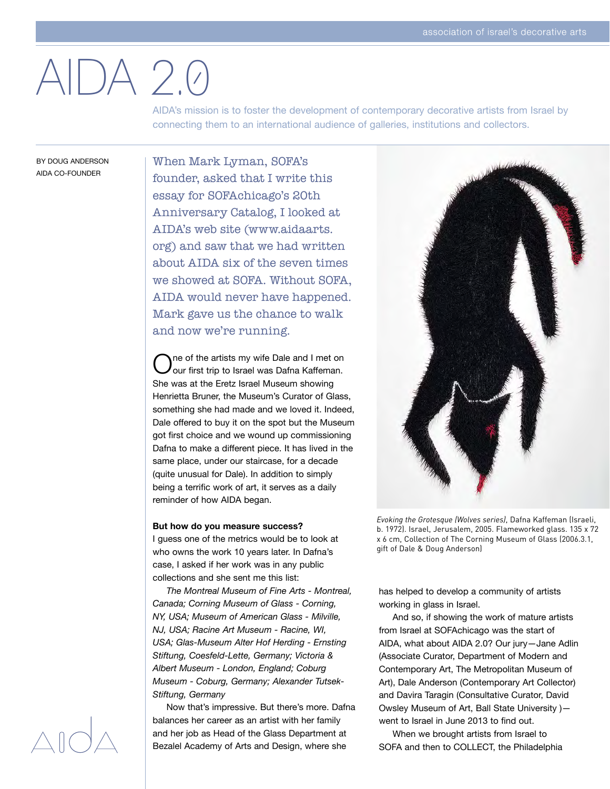# AIDA 2.0

AIDA's mission is to foster the development of contemporary decorative artists from Israel by connecting them to an international audience of galleries, institutions and collectors.

BY DOUG ANDERSON AIDA CO-FOUNDER

When Mark Lyman, SOFA's founder, asked that I write this essay for SOFAchicago's 20th Anniversary Catalog, I looked at AIDA's web site (www.aidaarts. org) and saw that we had written about AIDA six of the seven times we showed at SOFA. Without SOFA, AIDA would never have happened. Mark gave us the chance to walk and now we're running.

ne of the artists my wife Dale and I met on our first trip to Israel was Dafna Kaffeman. She was at the Eretz Israel Museum showing Henrietta Bruner, the Museum's Curator of Glass, something she had made and we loved it. Indeed, Dale offered to buy it on the spot but the Museum got first choice and we wound up commissioning Dafna to make a different piece. It has lived in the same place, under our staircase, for a decade (quite unusual for Dale). In addition to simply being a terrific work of art, it serves as a daily reminder of how AIDA began.

### **But how do you measure success?**

I guess one of the metrics would be to look at who owns the work 10 years later. In Dafna's case, I asked if her work was in any public collections and she sent me this list:

 *The Montreal Museum of Fine Arts - Montreal, Canada; Corning Museum of Glass - Corning, NY, USA; Museum of American Glass - Milville, NJ, USA; Racine Art Museum - Racine, WI, USA; Glas-Museum Alter Hof Herding - Ernsting Stiftung, Coesfeld-Lette, Germany; Victoria & Albert Museum - London, England; Coburg Museum - Coburg, Germany; Alexander Tutsek-Stiftung, Germany*

 Now that's impressive. But there's more. Dafna balances her career as an artist with her family and her job as Head of the Glass Department at Bezalel Academy of Arts and Design, where she



*Evoking the Grotesque (Wolves series)*, Dafna Kaffeman (Israeli, b. 1972). Israel, Jerusalem, 2005. Flameworked glass. 135 x 72 x 6 cm, Collection of The Corning Museum of Glass (2006.3.1, gift of Dale & Doug Anderson)

has helped to develop a community of artists working in glass in Israel.

 And so, if showing the work of mature artists from Israel at SOFAchicago was the start of AIDA, what about AIDA 2.0? Our jury—Jane Adlin (Associate Curator, Department of Modern and Contemporary Art, The Metropolitan Museum of Art), Dale Anderson (Contemporary Art Collector) and Davira Taragin (Consultative Curator, David Owsley Museum of Art, Ball State University ) went to Israel in June 2013 to find out.

 When we brought artists from Israel to SOFA and then to COLLECT, the Philadelphia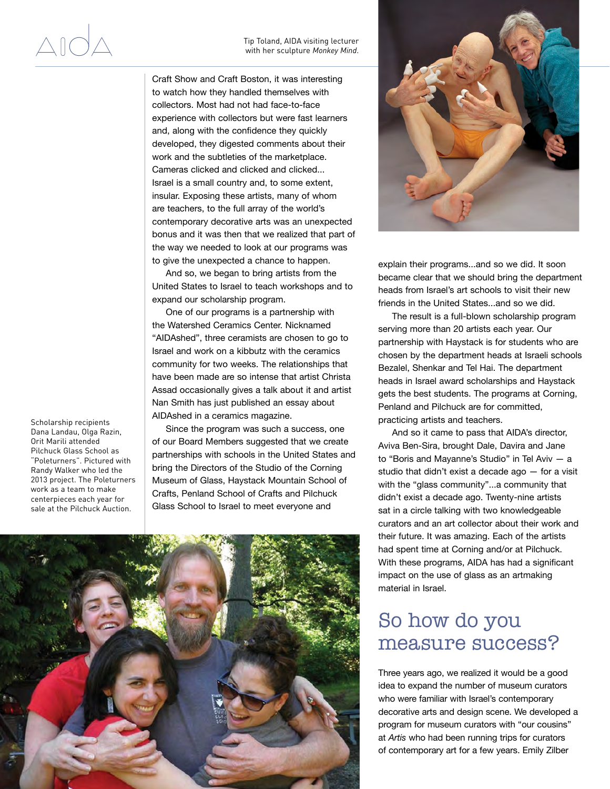### Tip Toland, AIDA visiting lecturer with her sculpture *Monkey Mind*.

Craft Show and Craft Boston, it was interesting to watch how they handled themselves with collectors. Most had not had face-to-face experience with collectors but were fast learners and, along with the confidence they quickly developed, they digested comments about their work and the subtleties of the marketplace. Cameras clicked and clicked and clicked... Israel is a small country and, to some extent, insular. Exposing these artists, many of whom are teachers, to the full array of the world's contemporary decorative arts was an unexpected bonus and it was then that we realized that part of the way we needed to look at our programs was to give the unexpected a chance to happen.

 And so, we began to bring artists from the United States to Israel to teach workshops and to expand our scholarship program.

 One of our programs is a partnership with the Watershed Ceramics Center. Nicknamed "AIDAshed", three ceramists are chosen to go to Israel and work on a kibbutz with the ceramics community for two weeks. The relationships that have been made are so intense that artist Christa Assad occasionally gives a talk about it and artist Nan Smith has just published an essay about AIDAshed in a ceramics magazine.

 Since the program was such a success, one of our Board Members suggested that we create partnerships with schools in the United States and bring the Directors of the Studio of the Corning Museum of Glass, Haystack Mountain School of Crafts, Penland School of Crafts and Pilchuck Glass School to Israel to meet everyone and







explain their programs...and so we did. It soon became clear that we should bring the department heads from Israel's art schools to visit their new friends in the United States...and so we did.

 The result is a full-blown scholarship program serving more than 20 artists each year. Our partnership with Haystack is for students who are chosen by the department heads at Israeli schools Bezalel, Shenkar and Tel Hai. The department heads in Israel award scholarships and Haystack gets the best students. The programs at Corning, Penland and Pilchuck are for committed, practicing artists and teachers.

 And so it came to pass that AIDA's director, Aviva Ben-Sira, brought Dale, Davira and Jane to "Boris and Mayanne's Studio" in Tel Aviv  $-$  a studio that didn't exist a decade ago — for a visit with the "glass community"...a community that didn't exist a decade ago. Twenty-nine artists sat in a circle talking with two knowledgeable curators and an art collector about their work and their future. It was amazing. Each of the artists had spent time at Corning and/or at Pilchuck. With these programs, AIDA has had a significant impact on the use of glass as an artmaking material in Israel.

## So how do you measure success?

Three years ago, we realized it would be a good idea to expand the number of museum curators who were familiar with Israel's contemporary decorative arts and design scene. We developed a program for museum curators with "our cousins" at *Artis* who had been running trips for curators of contemporary art for a few years. Emily Zilber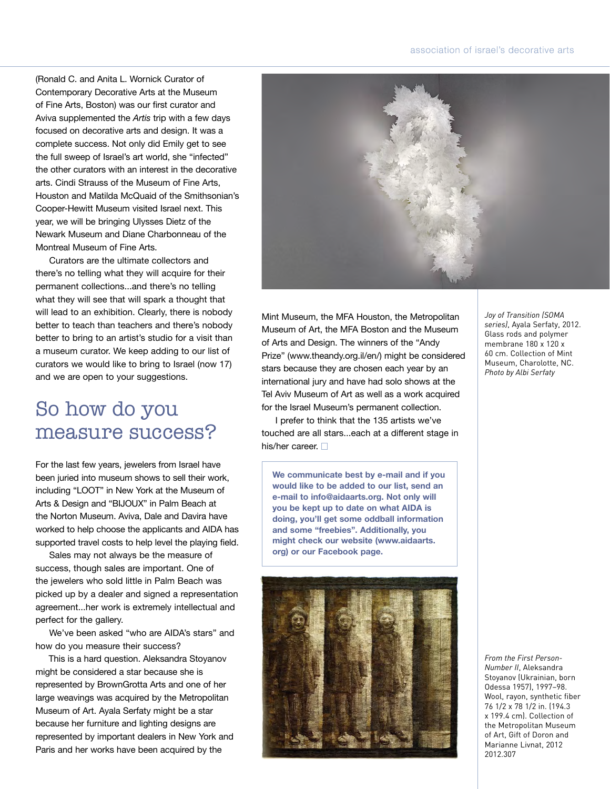### association of israel's decorative arts

(Ronald C. and Anita L. Wornick Curator of Contemporary Decorative Arts at the Museum of Fine Arts, Boston) was our first curator and Aviva supplemented the *Artis* trip with a few days focused on decorative arts and design. It was a complete success. Not only did Emily get to see the full sweep of Israel's art world, she "infected" the other curators with an interest in the decorative arts. Cindi Strauss of the Museum of Fine Arts, Houston and Matilda McQuaid of the Smithsonian's Cooper-Hewitt Museum visited Israel next. This year, we will be bringing Ulysses Dietz of the Newark Museum and Diane Charbonneau of the Montreal Museum of Fine Arts.

 Curators are the ultimate collectors and there's no telling what they will acquire for their permanent collections...and there's no telling what they will see that will spark a thought that will lead to an exhibition. Clearly, there is nobody better to teach than teachers and there's nobody better to bring to an artist's studio for a visit than a museum curator. We keep adding to our list of curators we would like to bring to Israel (now 17) and we are open to your suggestions.

## So how do you measure success?

For the last few years, jewelers from Israel have been juried into museum shows to sell their work, including "LOOT" in New York at the Museum of Arts & Design and "BIJOUX" in Palm Beach at the Norton Museum. Aviva, Dale and Davira have worked to help choose the applicants and AIDA has supported travel costs to help level the playing field.

 Sales may not always be the measure of success, though sales are important. One of the jewelers who sold little in Palm Beach was picked up by a dealer and signed a representation agreement...her work is extremely intellectual and perfect for the gallery.

 We've been asked "who are AIDA's stars" and how do you measure their success?

 This is a hard question. Aleksandra Stoyanov might be considered a star because she is represented by BrownGrotta Arts and one of her large weavings was acquired by the Metropolitan Museum of Art. Ayala Serfaty might be a star because her furniture and lighting designs are represented by important dealers in New York and Paris and her works have been acquired by the



Mint Museum, the MFA Houston, the Metropolitan Museum of Art, the MFA Boston and the Museum of Arts and Design. The winners of the "Andy Prize" (www.theandy.org.il/en/) might be considered stars because they are chosen each year by an international jury and have had solo shows at the Tel Aviv Museum of Art as well as a work acquired for the Israel Museum's permanent collection.

 I prefer to think that the 135 artists we've touched are all stars...each at a different stage in his/her career.  $\Box$ 

**We communicate best by e-mail and if you would like to be added to our list, send an e-mail to info@aidaarts.org. Not only will you be kept up to date on what AIDA is doing, you'll get some oddball information and some "freebies". Additionally, you might check our website (www.aidaarts. org) or our Facebook page.** 



*Joy of Transition (SOMA series)*, Ayala Serfaty, 2012. Glass rods and polymer membrane 180 x 120 x 60 cm. Collection of Mint Museum, Charolotte, NC. *Photo by Albi Serfaty*

*From the First Person-Number II*, Aleksandra Stoyanov (Ukrainian, born Odessa 1957), 1997–98. Wool, rayon, synthetic fiber 76 1/2 x 78 1/2 in. (194.3 x 199.4 cm). Collection of the Metropolitan Museum of Art, Gift of Doron and Marianne Livnat, 2012 2012.307